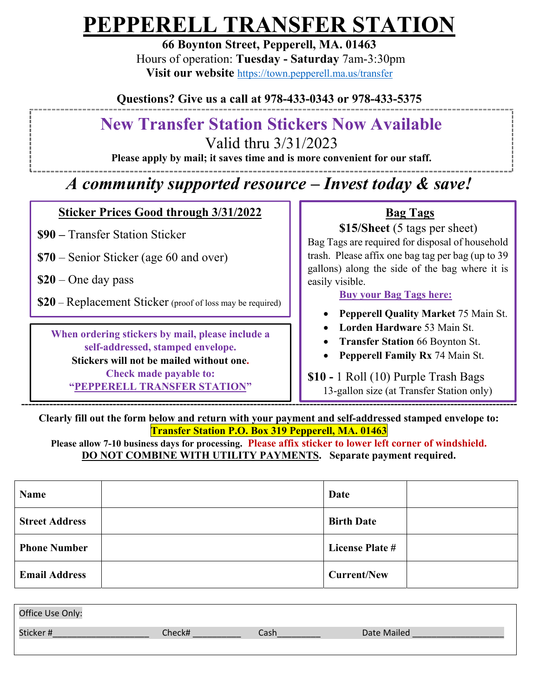# **PEPPERELL TRANSFER STATION**

**66 Boynton Street, Pepperell, MA. 01463**  Hours of operation: **Tuesday - Saturday** 7am-3:30pm **Visit our website** https://town.pepperell.ma.us/transfer

**Questions? Give us a call at 978-433-0343 or 978-433-5375** 

## **New Transfer Station Stickers Now Available**

Valid thru 3/31/2023

**Please apply by mail; it saves time and is more convenient for our staff.** 

## *A community supported resource – Invest today & save!*

### **Sticker Prices Good through 3/31/2022**

**\$90 –** Transfer Station Sticker

**\$70** – Senior Sticker (age 60 and over)

**\$20** – One day pass

**\$20** – Replacement Sticker (proof of loss may be required)

**When ordering stickers by mail, please include a self-addressed, stamped envelope. Stickers will not be mailed without one. Check made payable to: "PEPPERELL TRANSFER STATION"** 

### **Bag Tags**

**\$15/Sheet** (5 tags per sheet)

Bag Tags are required for disposal of household trash. Please affix one bag tag per bag (up to 39 gallons) along the side of the bag where it is easily visible.

#### **Buy your Bag Tags here:**

- **Pepperell Quality Market** 75 Main St.
- **Lorden Hardware** 53 Main St.
- **Transfer Station** 66 Boynton St.
- **Pepperell Family Rx** 74 Main St.

#### **\$10 -** 1 Roll (10) Purple Trash Bags13-gallon size (at Transfer Station only)

 **---------------------------------------------------------------------------------------------------------------------------------------------** 

**Clearly fill out the form below and return with your payment and self-addressed stamped envelope to: Transfer Station P.O. Box 319 Pepperell, MA. 01463** 

**Please allow 7-10 business days for processing. Please affix sticker to lower left corner of windshield. DO NOT COMBINE WITH UTILITY PAYMENTS. Separate payment required.**

| Name                  | Date                   |
|-----------------------|------------------------|
| <b>Street Address</b> | <b>Birth Date</b>      |
| <b>Phone Number</b>   | <b>License Plate #</b> |
| <b>Email Address</b>  | <b>Current/New</b>     |

| Office Use Only: |        |      |             |
|------------------|--------|------|-------------|
| Sticker#         | :heck# | Cash | Date Mailed |